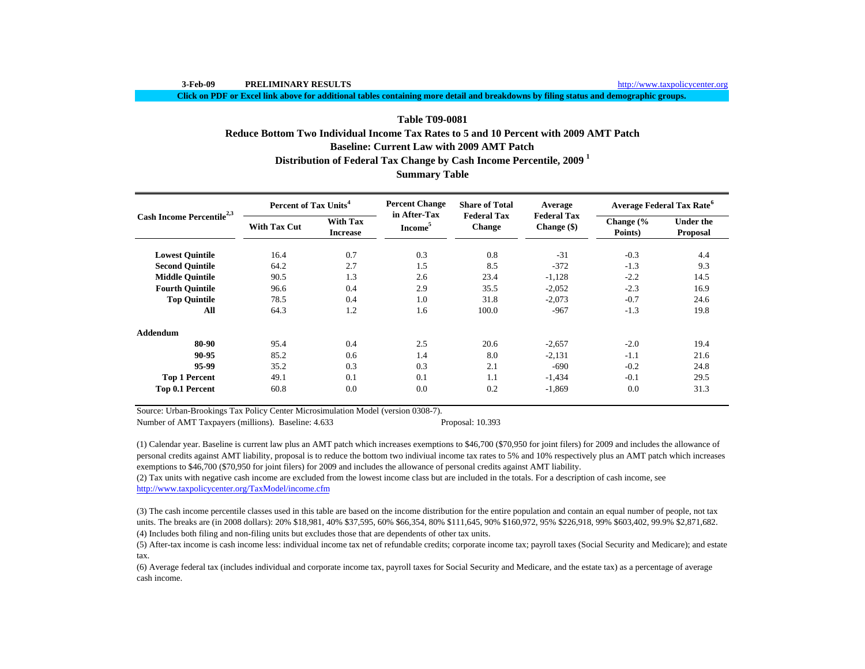**Click on PDF or Excel link above for additional tables containing more detail and breakdowns by filing status and demographic groups.**

# **Summary Table Baseline: Current Law with 2009 AMT PatchDistribution of Federal Tax Change by Cash Income Percentile, 2009 <sup>1</sup> Table T09-0081Reduce Bottom Two Individual Income Tax Rates to 5 and 10 Percent with 2009 AMT Patch**

| Cash Income Percentile <sup>2,3</sup> | Percent of Tax Units <sup>4</sup> |                                    | <b>Percent Change</b><br>in After-Tax | <b>Share of Total</b>               | Average                             | <b>Average Federal Tax Rate<sup>6</sup></b> |                                     |  |
|---------------------------------------|-----------------------------------|------------------------------------|---------------------------------------|-------------------------------------|-------------------------------------|---------------------------------------------|-------------------------------------|--|
|                                       | <b>With Tax Cut</b>               | <b>With Tax</b><br><b>Increase</b> | Income <sup>5</sup>                   | <b>Federal Tax</b><br><b>Change</b> | <b>Federal Tax</b><br>Change $(\$)$ | Change $\frac{6}{6}$<br>Points)             | <b>Under the</b><br><b>Proposal</b> |  |
| <b>Lowest Quintile</b>                | 16.4                              | 0.7                                | 0.3                                   | 0.8                                 | $-31$                               | $-0.3$                                      | 4.4                                 |  |
| <b>Second Quintile</b>                | 64.2                              | 2.7                                | 1.5                                   | 8.5                                 | $-372$                              | $-1.3$                                      | 9.3                                 |  |
| <b>Middle Quintile</b>                | 90.5                              | 1.3                                | 2.6                                   | 23.4                                | $-1,128$                            | $-2.2$                                      | 14.5                                |  |
| <b>Fourth Quintile</b>                | 96.6                              | 0.4                                | 2.9                                   | 35.5                                | $-2,052$                            | $-2.3$                                      | 16.9                                |  |
| <b>Top Quintile</b>                   | 78.5                              | 0.4                                | 1.0                                   | 31.8                                | $-2,073$                            | $-0.7$                                      | 24.6                                |  |
| All                                   | 64.3                              | 1.2                                | 1.6                                   | 100.0                               | $-967$                              | $-1.3$                                      | 19.8                                |  |
| <b>Addendum</b>                       |                                   |                                    |                                       |                                     |                                     |                                             |                                     |  |
| 80-90                                 | 95.4                              | 0.4                                | 2.5                                   | 20.6                                | $-2,657$                            | $-2.0$                                      | 19.4                                |  |
| 90-95                                 | 85.2                              | 0.6                                | 1.4                                   | 8.0                                 | $-2,131$                            | $-1.1$                                      | 21.6                                |  |
| 95-99                                 | 35.2                              | 0.3                                | 0.3                                   | 2.1                                 | $-690$                              | $-0.2$                                      | 24.8                                |  |
| <b>Top 1 Percent</b>                  | 49.1                              | 0.1                                | 0.1                                   | 1.1                                 | $-1,434$                            | $-0.1$                                      | 29.5                                |  |
| Top 0.1 Percent                       | 60.8                              | 0.0                                | 0.0                                   | 0.2                                 | $-1,869$                            | 0.0                                         | 31.3                                |  |

Source: Urban-Brookings Tax Policy Center Microsimulation Model (version 0308-7).

Number of AMT Taxpayers (millions). Baseline: 4.633 Proposal: 10.393

(1) Calendar year. Baseline is current law plus an AMT patch which increases exemptions to \$46,700 (\$70,950 for joint filers) for 2009 and includes the allowance of personal credits against AMT liability, proposal is to reduce the bottom two indiviual income tax rates to 5% and 10% respectively plus an AMT patch which increases exemptions to \$46,700 (\$70,950 for joint filers) for 2009 and includes the allowance of personal credits against AMT liability.

(2) Tax units with negative cash income are excluded from the lowest income class but are included in the totals. For a description of cash income, see http://www.taxpolicycenter.org/TaxModel/income.cfm

(4) Includes both filing and non-filing units but excludes those that are dependents of other tax units. (3) The cash income percentile classes used in this table are based on the income distribution for the entire population and contain an equal number of people, not tax units. The breaks are (in 2008 dollars): 20% \$18,981, 40% \$37,595, 60% \$66,354, 80% \$111,645, 90% \$160,972, 95% \$226,918, 99% \$603,402, 99.9% \$2,871,682.

(5) After-tax income is cash income less: individual income tax net of refundable credits; corporate income tax; payroll taxes (Social Security and Medicare); and estate tax.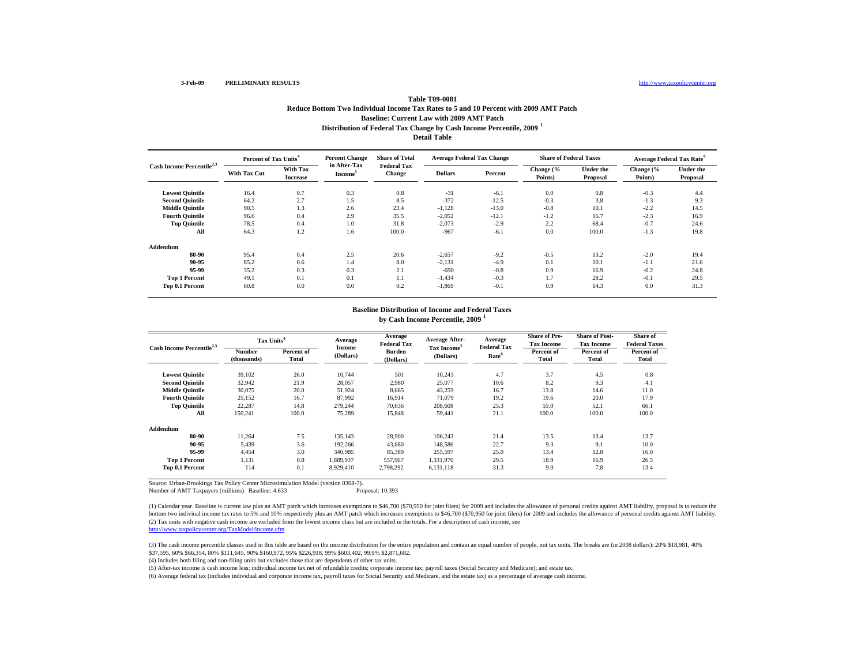### http://www.taxpolicycenter.org

## **Distribution of Federal Tax Change by Cash Income Percentile, 2009 <sup>1</sup> Detail Table Table T09-0081Reduce Bottom Two Individual Income Tax Rates to 5 and 10 Percent with 2009 AMT Patch Baseline: Current Law with 2009 AMT Patch**

| Cash Income Percentile <sup>2,3</sup> | Percent of Tax Units <sup>4</sup> |                             | <b>Percent Change</b>               | <b>Share of Total</b>               | <b>Average Federal Tax Change</b> |         | <b>Share of Federal Taxes</b> |                              | <b>Average Federal Tax Rate<sup>6</sup></b> |                              |
|---------------------------------------|-----------------------------------|-----------------------------|-------------------------------------|-------------------------------------|-----------------------------------|---------|-------------------------------|------------------------------|---------------------------------------------|------------------------------|
|                                       | <b>With Tax Cut</b>               | With Tax<br><b>Increase</b> | in After-Tax<br>Income <sup>3</sup> | <b>Federal Tax</b><br><b>Change</b> | <b>Dollars</b>                    | Percent | Change (%<br>Points)          | <b>Under the</b><br>Proposal | Change (%<br>Points)                        | <b>Under the</b><br>Proposal |
| <b>Lowest Quintile</b>                | 16.4                              | 0.7                         | 0.3                                 | 0.8                                 | $-31$                             | $-6.1$  | 0.0                           | 0.8                          | $-0.3$                                      | 4.4                          |
| <b>Second Quintile</b>                | 64.2                              | 2.7                         | 1.5                                 | 8.5                                 | $-372$                            | $-12.5$ | $-0.3$                        | 3.8                          | $-1.3$                                      | 9.3                          |
| <b>Middle Quintile</b>                | 90.5                              | 1.3                         | 2.6                                 | 23.4                                | $-1,128$                          | $-13.0$ | $-0.8$                        | 10.1                         | $-2.2$                                      | 14.5                         |
| <b>Fourth Quintile</b>                | 96.6                              | 0.4                         | 2.9                                 | 35.5                                | $-2,052$                          | $-12.1$ | $-1.2$                        | 16.7                         | $-2.3$                                      | 16.9                         |
| <b>Top Quintile</b>                   | 78.5                              | 0.4                         | 1.0                                 | 31.8                                | $-2,073$                          | $-2.9$  | 2.2                           | 68.4                         | $-0.7$                                      | 24.6                         |
| All                                   | 64.3                              | 1.2                         | 1.6                                 | 100.0                               | $-967$                            | $-6.1$  | 0.0                           | 100.0                        | $-1.3$                                      | 19.8                         |
| Addendum                              |                                   |                             |                                     |                                     |                                   |         |                               |                              |                                             |                              |
| 80-90                                 | 95.4                              | 0.4                         | 2.5                                 | 20.6                                | $-2,657$                          | $-9.2$  | $-0.5$                        | 13.2                         | $-2.0$                                      | 19.4                         |
| 90-95                                 | 85.2                              | 0.6                         | 1.4                                 | 8.0                                 | $-2,131$                          | $-4.9$  | 0.1                           | 10.1                         | $-1.1$                                      | 21.6                         |
| 95-99                                 | 35.2                              | 0.3                         | 0.3                                 | 2.1                                 | $-690$                            | $-0.8$  | 0.9                           | 16.9                         | $-0.2$                                      | 24.8                         |
| <b>Top 1 Percent</b>                  | 49.1                              | 0.1                         | 0.1                                 | 1.1                                 | $-1,434$                          | $-0.3$  | 1.7                           | 28.2                         | $-0.1$                                      | 29.5                         |
| Top 0.1 Percent                       | 60.8                              | 0.0                         | 0.0                                 | 0.2                                 | $-1,869$                          | $-0.1$  | 0.9                           | 14.3                         | 0.0                                         | 31.3                         |

### **by Cash Income Percentile, 2009 <sup>1</sup> Baseline Distribution of Income and Federal Taxes**

| Cash Income Percentile <sup>2,3</sup> |                       | Tax Units <sup>4</sup> |                     | Average<br><b>Federal Tax</b> | <b>Average After-</b>                | Average<br><b>Federal Tax</b> | <b>Share of Pre-</b><br><b>Tax Income</b> | <b>Share of Post-</b><br><b>Tax Income</b> | Share of<br><b>Federal Taxes</b> |
|---------------------------------------|-----------------------|------------------------|---------------------|-------------------------------|--------------------------------------|-------------------------------|-------------------------------------------|--------------------------------------------|----------------------------------|
|                                       | Number<br>(thousands) | Percent of<br>Total    | Income<br>(Dollars) | <b>Burden</b><br>(Dollars)    | Tax Income <sup>5</sup><br>(Dollars) | Rate <sup>6</sup>             | Percent of<br>Total                       | Percent of<br><b>Total</b>                 | Percent of<br><b>Total</b>       |
| <b>Lowest Quintile</b>                | 39.102                | 26.0                   | 10,744              | 501                           | 10,243                               | 4.7                           | 3.7                                       | 4.5                                        | 0.8                              |
| <b>Second Quintile</b>                | 32,942                | 21.9                   | 28,057              | 2,980                         | 25,077                               | 10.6                          | 8.2                                       | 9.3                                        | 4.1                              |
| <b>Middle Quintile</b>                | 30,075                | 20.0                   | 51,924              | 8,665                         | 43,259                               | 16.7                          | 13.8                                      | 14.6                                       | 11.0                             |
| <b>Fourth Quintile</b>                | 25,152                | 16.7                   | 87.992              | 16,914                        | 71.079                               | 19.2                          | 19.6                                      | 20.0                                       | 17.9                             |
| <b>Top Quintile</b>                   | 22,287                | 14.8                   | 279.244             | 70,636                        | 208,608                              | 25.3                          | 55.0                                      | 52.1                                       | 66.1                             |
| All                                   | 150,241               | 100.0                  | 75,289              | 15,848                        | 59,441                               | 21.1                          | 100.0                                     | 100.0                                      | 100.0                            |
| Addendum                              |                       |                        |                     |                               |                                      |                               |                                           |                                            |                                  |
| 80-90                                 | 11.264                | 7.5                    | 135.143             | 28,900                        | 106,243                              | 21.4                          | 13.5                                      | 13.4                                       | 13.7                             |
| 90-95                                 | 5,439                 | 3.6                    | 192,266             | 43,680                        | 148,586                              | 22.7                          | 9.3                                       | 9.1                                        | 10.0                             |
| 95-99                                 | 4,454                 | 3.0                    | 340,985             | 85,389                        | 255,597                              | 25.0                          | 13.4                                      | 12.8                                       | 16.0                             |
| <b>Top 1 Percent</b>                  | 1,131                 | 0.8                    | 1,889,937           | 557,967                       | 1,331,970                            | 29.5                          | 18.9                                      | 16.9                                       | 26.5                             |
| Top 0.1 Percent                       | 114                   | 0.1                    | 8,929,410           | 2,798,292                     | 6,131,118                            | 31.3                          | 9.0                                       | 7.8                                        | 13.4                             |

Source: Urban-Brookings Tax Policy Center Microsimulation Model (version 0308-7).

Number of AMT Taxpayers (millions). Baseline: 4.633 Proposal: 10.393

(2) Tax units with negative cash income are excluded from the lowest income class but are included in the totals. For a description of cash income, see http://www.taxpolicycenter.org/TaxModel/income.cfm (1) Calendar year. Baseline is current law plus an AMT patch which increases exemptions to \$46,700 (\$70,950 for joint filers) for 2009 and includes the allowance of personal credits against AMT liability, proposal is to re bottom two indiviual income tax rates to 5% and 10% respectively plus an AMT patch which increases exemptions to \$46,700 (\$70,950 for joint filers) for 2009 and includes the allowance of personal credits against AMT liabil

(3) The cash income percentile classes used in this table are based on the income distribution for the entire population and contain an equal number of people, not tax units. The breaks are (in 2008 dollars): 20% \$18,981, \$37,595, 60% \$66,354, 80% \$111,645, 90% \$160,972, 95% \$226,918, 99% \$603,402, 99.9% \$2,871,682.

(4) Includes both filing and non-filing units but excludes those that are dependents of other tax units.

(5) After-tax income is cash income less: individual income tax net of refundable credits; corporate income tax; payroll taxes (Social Security and Medicare); and estate tax.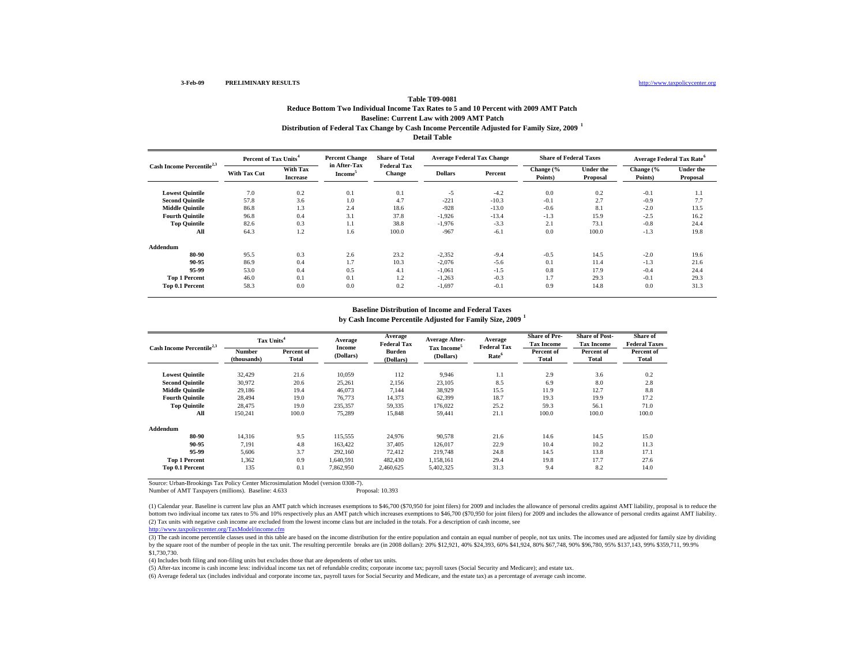### http://www.taxpolicycenter.org

### **Distribution of Federal Tax Change by Cash Income Percentile Adjusted for Family Size, 2009 <sup>1</sup> Detail Table Table T09-0081Reduce Bottom Two Individual Income Tax Rates to 5 and 10 Percent with 2009 AMT Patch Baseline: Current Law with 2009 AMT Patch**

| Cash Income Percentile <sup>2,3</sup> | Percent of Tax Units <sup>4</sup> |                             | <b>Percent Change</b>               | <b>Share of Total</b>               | <b>Average Federal Tax Change</b> |         | <b>Share of Federal Taxes</b> |                              | <b>Average Federal Tax Rate<sup>6</sup></b> |                              |
|---------------------------------------|-----------------------------------|-----------------------------|-------------------------------------|-------------------------------------|-----------------------------------|---------|-------------------------------|------------------------------|---------------------------------------------|------------------------------|
|                                       | <b>With Tax Cut</b>               | With Tax<br><b>Increase</b> | in After-Tax<br>Income <sup>3</sup> | <b>Federal Tax</b><br><b>Change</b> | <b>Dollars</b>                    | Percent | Change (%<br>Points)          | <b>Under the</b><br>Proposal | Change (%<br>Points)                        | <b>Under the</b><br>Proposal |
| <b>Lowest Quintile</b>                | 7.0                               | 0.2                         | 0.1                                 | 0.1                                 | $-5$                              | $-4.2$  | 0.0                           | 0.2                          | $-0.1$                                      | 1.1                          |
| <b>Second Quintile</b>                | 57.8                              | 3.6                         | 1.0                                 | 4.7                                 | $-221$                            | $-10.3$ | $-0.1$                        | 2.7                          | $-0.9$                                      | 7.7                          |
| <b>Middle Quintile</b>                | 86.8                              | 1.3                         | 2.4                                 | 18.6                                | $-928$                            | $-13.0$ | $-0.6$                        | 8.1                          | $-2.0$                                      | 13.5                         |
| <b>Fourth Quintile</b>                | 96.8                              | 0.4                         | 3.1                                 | 37.8                                | $-1,926$                          | $-13.4$ | $-1.3$                        | 15.9                         | $-2.5$                                      | 16.2                         |
| <b>Top Quintile</b>                   | 82.6                              | 0.3                         | 1.1                                 | 38.8                                | $-1.976$                          | $-3.3$  | 2.1                           | 73.1                         | $-0.8$                                      | 24.4                         |
| All                                   | 64.3                              | 1.2                         | 1.6                                 | 100.0                               | $-967$                            | $-6.1$  | 0.0                           | 100.0                        | $-1.3$                                      | 19.8                         |
| Addendum                              |                                   |                             |                                     |                                     |                                   |         |                               |                              |                                             |                              |
| 80-90                                 | 95.5                              | 0.3                         | 2.6                                 | 23.2                                | $-2,352$                          | $-9.4$  | $-0.5$                        | 14.5                         | $-2.0$                                      | 19.6                         |
| 90-95                                 | 86.9                              | 0.4                         | 1.7                                 | 10.3                                | $-2,076$                          | $-5.6$  | 0.1                           | 11.4                         | $-1.3$                                      | 21.6                         |
| 95-99                                 | 53.0                              | 0.4                         | 0.5                                 | 4.1                                 | $-1.061$                          | $-1.5$  | 0.8                           | 17.9                         | $-0.4$                                      | 24.4                         |
| <b>Top 1 Percent</b>                  | 46.0                              | 0.1                         | 0.1                                 | 1.2                                 | $-1,263$                          | $-0.3$  | 1.7                           | 29.3                         | $-0.1$                                      | 29.3                         |
| Top 0.1 Percent                       | 58.3                              | 0.0                         | 0.0                                 | 0.2                                 | $-1,697$                          | $-0.1$  | 0.9                           | 14.8                         | 0.0                                         | 31.3                         |

#### **Baseline Distribution of Income and Federal Taxes**

**by Cash Income Percentile Adjusted for Family Size, 2009 <sup>1</sup>**

| Cash Income Percentile <sup>2,3</sup> | Tax Units <sup>4</sup> |                     | Average             | Average<br><b>Federal Tax</b> | <b>Average After-</b>                | Average<br><b>Federal Tax</b> | <b>Share of Pre-</b><br><b>Tax Income</b> | <b>Share of Post-</b><br><b>Tax Income</b> | <b>Share of</b><br><b>Federal Taxes</b> |
|---------------------------------------|------------------------|---------------------|---------------------|-------------------------------|--------------------------------------|-------------------------------|-------------------------------------------|--------------------------------------------|-----------------------------------------|
|                                       | Number<br>(thousands)  | Percent of<br>Total | Income<br>(Dollars) | <b>Burden</b><br>(Dollars)    | Tax Income <sup>5</sup><br>(Dollars) | Rate <sup>6</sup>             | Percent of<br>Total                       | Percent of<br><b>Total</b>                 | Percent of<br>Total                     |
| <b>Lowest Quintile</b>                | 32,429                 | 21.6                | 10,059              | 112                           | 9,946                                | 1.1                           | 2.9                                       | 3.6                                        | 0.2                                     |
| <b>Second Ouintile</b>                | 30.972                 | 20.6                | 25,261              | 2,156                         | 23,105                               | 8.5                           | 6.9                                       | 8.0                                        | 2.8                                     |
| <b>Middle Ouintile</b>                | 29,186                 | 19.4                | 46,073              | 7,144                         | 38,929                               | 15.5                          | 11.9                                      | 12.7                                       | 8.8                                     |
| <b>Fourth Ouintile</b>                | 28.494                 | 19.0                | 76,773              | 14,373                        | 62,399                               | 18.7                          | 19.3                                      | 19.9                                       | 17.2                                    |
| <b>Top Quintile</b>                   | 28,475                 | 19.0                | 235,357             | 59,335                        | 176,022                              | 25.2                          | 59.3                                      | 56.1                                       | 71.0                                    |
| All                                   | 150,241                | 100.0               | 75,289              | 15,848                        | 59,441                               | 21.1                          | 100.0                                     | 100.0                                      | 100.0                                   |
| Addendum                              |                        |                     |                     |                               |                                      |                               |                                           |                                            |                                         |
| 80-90                                 | 14.316                 | 9.5                 | 115.555             | 24,976                        | 90,578                               | 21.6                          | 14.6                                      | 14.5                                       | 15.0                                    |
| 90-95                                 | 7,191                  | 4.8                 | 163,422             | 37,405                        | 126,017                              | 22.9                          | 10.4                                      | 10.2                                       | 11.3                                    |
| 95-99                                 | 5,606                  | 3.7                 | 292,160             | 72,412                        | 219,748                              | 24.8                          | 14.5                                      | 13.8                                       | 17.1                                    |
| <b>Top 1 Percent</b>                  | 1,362                  | 0.9                 | 1,640,591           | 482,430                       | 1,158,161                            | 29.4                          | 19.8                                      | 17.7                                       | 27.6                                    |
| Top 0.1 Percent                       | 135                    | 0.1                 | 7,862,950           | 2,460,625                     | 5,402,325                            | 31.3                          | 9.4                                       | 8.2                                        | 14.0                                    |

Source: Urban-Brookings Tax Policy Center Microsimulation Model (version 0308-7).

Number of AMT Taxpayers (millions). Baseline: 4.633 Proposal: 10.393

(2) Tax units with negative cash income are excluded from the lowest income class but are included in the totals. For a description of cash income, see (1) Calendar year. Baseline is current law plus an AMT patch which increases exemptions to \$46,700 (\$70,950 for joint filers) for 2009 and includes the allowance of personal credits against AMT liability, proposal is to re bottom two indiviual income tax rates to 5% and 10% respectively plus an AMT patch which increases exemptions to \$46,700 (\$70,950 for joint filers) for 2009 and includes the allowance of personal credits against AMT liabil

http://www.taxpolicycenter.org/TaxModel/income.cfm

(3) The cash income percentile classes used in this table are based on the income distribution for the entire population and contain an equal number of people, not tax units. The incomes used are adjusted for family size b by the square root of the number of people in the tax unit. The resulting percentile breaks are (in 2008 dollars): 20% \$12,921, 40% \$24,393, 60% \$41,924, 80% \$67,748, 90% \$96,780, 95% \$137,143, 99% \$359,711, 99.9% \$1,730,730.

(4) Includes both filing and non-filing units but excludes those that are dependents of other tax units.

(5) After-tax income is cash income less: individual income tax net of refundable credits; corporate income tax; payroll taxes (Social Security and Medicare); and estate tax.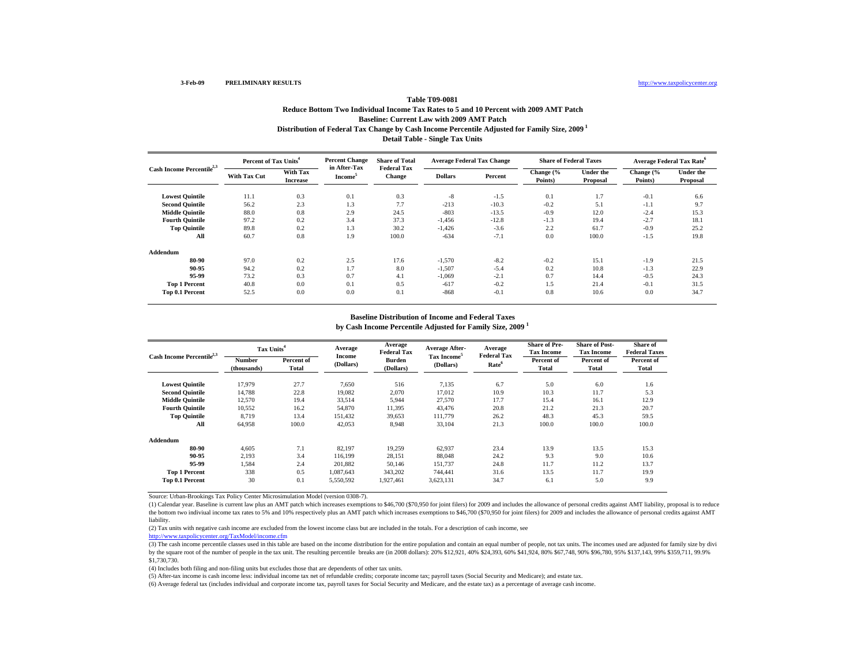# **Distribution of Federal Tax Change by Cash Income Percentile Adjusted for Family Size, 2009 1 Detail Table - Single Tax Units Table T09-0081Reduce Bottom Two Individual Income Tax Rates to 5 and 10 Percent with 2009 AMT Patch Baseline: Current Law with 2009 AMT Patch**

| Cash Income Percentile <sup>2,3</sup> | Percent of Tax Units <sup>4</sup> |                             | <b>Percent Change</b><br>in After-Tax | <b>Share of Total</b>               | <b>Average Federal Tax Change</b> |         | <b>Share of Federal Taxes</b> |                              | <b>Average Federal Tax Rate<sup>6</sup></b> |                              |
|---------------------------------------|-----------------------------------|-----------------------------|---------------------------------------|-------------------------------------|-----------------------------------|---------|-------------------------------|------------------------------|---------------------------------------------|------------------------------|
|                                       | <b>With Tax Cut</b>               | With Tax<br><b>Increase</b> | <b>Income</b>                         | <b>Federal Tax</b><br><b>Change</b> | <b>Dollars</b>                    | Percent | Change (%<br>Points)          | <b>Under the</b><br>Proposal | Change (%<br>Points)                        | <b>Under the</b><br>Proposal |
| <b>Lowest Quintile</b>                | 11.1                              | 0.3                         | 0.1                                   | 0.3                                 | $-8$                              | $-1.5$  | 0.1                           | 1.7                          | $-0.1$                                      | 6.6                          |
| <b>Second Quintile</b>                | 56.2                              | 2.3                         | 1.3                                   | 7.7                                 | $-213$                            | $-10.3$ | $-0.2$                        | 5.1                          | $-1.1$                                      | 9.7                          |
| <b>Middle Quintile</b>                | 88.0                              | 0.8                         | 2.9                                   | 24.5                                | $-803$                            | $-13.5$ | $-0.9$                        | 12.0                         | $-2.4$                                      | 15.3                         |
| <b>Fourth Quintile</b>                | 97.2                              | 0.2                         | 3.4                                   | 37.3                                | $-1,456$                          | $-12.8$ | $-1.3$                        | 19.4                         | $-2.7$                                      | 18.1                         |
| <b>Top Quintile</b>                   | 89.8                              | 0.2                         | 1.3                                   | 30.2                                | $-1.426$                          | $-3.6$  | 2.2                           | 61.7                         | $-0.9$                                      | 25.2                         |
| All                                   | 60.7                              | 0.8                         | 1.9                                   | 100.0                               | $-634$                            | $-7.1$  | 0.0                           | 100.0                        | $-1.5$                                      | 19.8                         |
| Addendum                              |                                   |                             |                                       |                                     |                                   |         |                               |                              |                                             |                              |
| 80-90                                 | 97.0                              | 0.2                         | 2.5                                   | 17.6                                | $-1,570$                          | $-8.2$  | $-0.2$                        | 15.1                         | $-1.9$                                      | 21.5                         |
| 90-95                                 | 94.2                              | 0.2                         | 1.7                                   | 8.0                                 | $-1,507$                          | $-5.4$  | 0.2                           | 10.8                         | $-1.3$                                      | 22.9                         |
| 95-99                                 | 73.2                              | 0.3                         | 0.7                                   | 4.1                                 | $-1,069$                          | $-2.1$  | 0.7                           | 14.4                         | $-0.5$                                      | 24.3                         |
| <b>Top 1 Percent</b>                  | 40.8                              | 0.0                         | 0.1                                   | 0.5                                 | $-617$                            | $-0.2$  | 1.5                           | 21.4                         | $-0.1$                                      | 31.5                         |
| Top 0.1 Percent                       | 52.5                              | 0.0                         | 0.0                                   | 0.1                                 | $-868$                            | $-0.1$  | 0.8                           | 10.6                         | 0.0                                         | 34.7                         |

### **Baseline Distribution of Income and Federal Taxes**

**by Cash Income Percentile Adjusted for Family Size, 2009 <sup>1</sup>**

| Cash Income Percentile <sup>2,3</sup> |                       | Tax Units <sup>4</sup> |                     | Average<br><b>Federal Tax</b> | <b>Average After-</b>                | Average<br><b>Federal Tax</b> | <b>Share of Pre-</b><br><b>Tax Income</b> | <b>Share of Post-</b><br><b>Tax Income</b> | Share of<br><b>Federal Taxes</b> |
|---------------------------------------|-----------------------|------------------------|---------------------|-------------------------------|--------------------------------------|-------------------------------|-------------------------------------------|--------------------------------------------|----------------------------------|
|                                       | Number<br>(thousands) | Percent of<br>Total    | Income<br>(Dollars) | <b>Burden</b><br>(Dollars)    | Tax Income <sup>5</sup><br>(Dollars) | Rate <sup>6</sup>             | Percent of<br>Total                       | Percent of<br>Total                        | Percent of<br>Total              |
| <b>Lowest Quintile</b>                | 17.979                | 27.7                   | 7,650               | 516                           | 7,135                                | 6.7                           | 5.0                                       | 6.0                                        | 1.6                              |
| <b>Second Quintile</b>                | 14.788                | 22.8                   | 19,082              | 2,070                         | 17,012                               | 10.9                          | 10.3                                      | 11.7                                       | 5.3                              |
| <b>Middle Quintile</b>                | 12,570                | 19.4                   | 33,514              | 5.944                         | 27,570                               | 17.7                          | 15.4                                      | 16.1                                       | 12.9                             |
| <b>Fourth Ouintile</b>                | 10.552                | 16.2                   | 54,870              | 11,395                        | 43.476                               | 20.8                          | 21.2                                      | 21.3                                       | 20.7                             |
| <b>Top Quintile</b>                   | 8.719                 | 13.4                   | 151.432             | 39.653                        | 111,779                              | 26.2                          | 48.3                                      | 45.3                                       | 59.5                             |
| All                                   | 64,958                | 100.0                  | 42,053              | 8,948                         | 33,104                               | 21.3                          | 100.0                                     | 100.0                                      | 100.0                            |
| Addendum                              |                       |                        |                     |                               |                                      |                               |                                           |                                            |                                  |
| 80-90                                 | 4.605                 | 7.1                    | 82.197              | 19.259                        | 62.937                               | 23.4                          | 13.9                                      | 13.5                                       | 15.3                             |
| 90-95                                 | 2.193                 | 3.4                    | 116.199             | 28,151                        | 88,048                               | 24.2                          | 9.3                                       | 9.0                                        | 10.6                             |
| 95-99                                 | 1.584                 | 2.4                    | 201.882             | 50.146                        | 151.737                              | 24.8                          | 11.7                                      | 11.2                                       | 13.7                             |
| <b>Top 1 Percent</b>                  | 338                   | 0.5                    | 1,087,643           | 343,202                       | 744.441                              | 31.6                          | 13.5                                      | 11.7                                       | 19.9                             |
| Top 0.1 Percent                       | 30                    | 0.1                    | 5,550,592           | 1,927,461                     | 3,623,131                            | 34.7                          | 6.1                                       | 5.0                                        | 9.9                              |

Source: Urban-Brookings Tax Policy Center Microsimulation Model (version 0308-7).

(1) Calendar year. Baseline is current law plus an AMT patch which increases exemptions to \$46,700 (\$70,950 for joint filers) for 2009 and includes the allowance of personal credits against AMT liability, proposal is to re the bottom two indiviual income tax rates to 5% and 10% respectively plus an AMT patch which increases exemptions to \$46,700 (\$70,950 for joint filers) for 2009 and includes the allowance of personal credits against AMT liability.

(2) Tax units with negative cash income are excluded from the lowest income class but are included in the totals. For a description of cash income, see

http://www.taxpolicycenter.org/TaxModel/income.cfm

(3) The cash income percentile classes used in this table are based on the income distribution for the entire population and contain an equal number of people, not tax units. The incomes used are adjusted for family size b by the square root of the number of people in the tax unit. The resulting percentile breaks are (in 2008 dollars): 20% \$12,921, 40% \$24,393, 60% \$41,924, 80% \$67,748, 90% \$96,780, 95% \$137,143, 99% \$359,711, 99.9% \$1,730,730.

(4) Includes both filing and non-filing units but excludes those that are dependents of other tax units.

(5) After-tax income is cash income less: individual income tax net of refundable credits; corporate income tax; payroll taxes (Social Security and Medicare); and estate tax.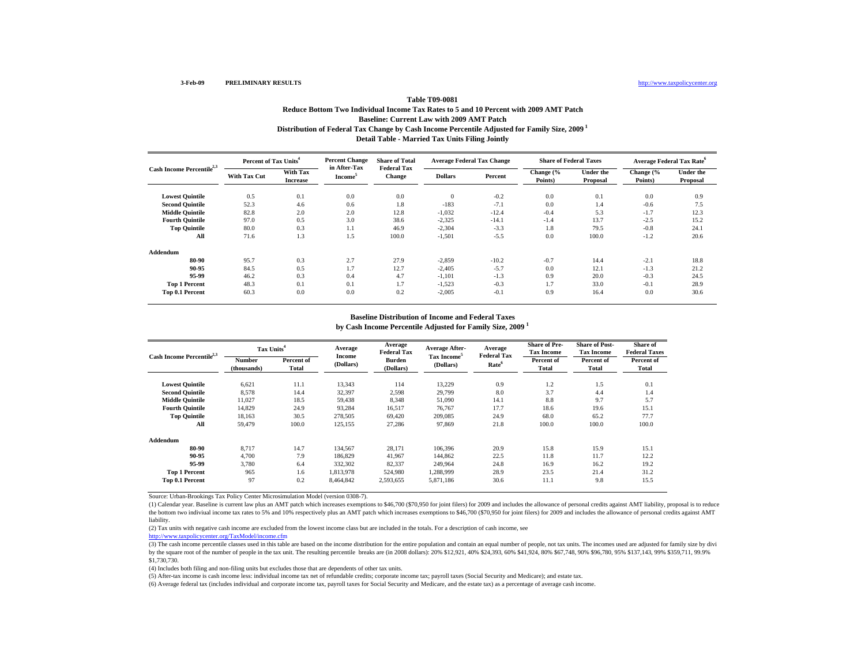# **Distribution of Federal Tax Change by Cash Income Percentile Adjusted for Family Size, 2009 1 Detail Table - Married Tax Units Filing Jointly Table T09-0081Reduce Bottom Two Individual Income Tax Rates to 5 and 10 Percent with 2009 AMT Patch Baseline: Current Law with 2009 AMT Patch**

| Cash Income Percentile <sup>2,3</sup> | Percent of Tax Units <sup>4</sup> |                             | <b>Percent Change</b><br>in After-Tax | <b>Share of Total</b>               | <b>Average Federal Tax Change</b> |         | <b>Share of Federal Taxes</b> |                              | <b>Average Federal Tax Rate</b> <sup>6</sup> |                              |
|---------------------------------------|-----------------------------------|-----------------------------|---------------------------------------|-------------------------------------|-----------------------------------|---------|-------------------------------|------------------------------|----------------------------------------------|------------------------------|
|                                       | <b>With Tax Cut</b>               | With Tax<br><b>Increase</b> | Income <sup>5</sup>                   | <b>Federal Tax</b><br><b>Change</b> | <b>Dollars</b>                    | Percent | Change (%<br>Points)          | <b>Under the</b><br>Proposal | Change (%<br>Points)                         | <b>Under the</b><br>Proposal |
| <b>Lowest Quintile</b>                | 0.5                               | 0.1                         | 0.0                                   | 0.0                                 | $\theta$                          | $-0.2$  | 0.0                           | 0.1                          | 0.0                                          | 0.9                          |
| <b>Second Quintile</b>                | 52.3                              | 4.6                         | 0.6                                   | 1.8                                 | $-183$                            | $-7.1$  | 0.0                           | 1.4                          | $-0.6$                                       | 7.5                          |
| <b>Middle Quintile</b>                | 82.8                              | 2.0                         | 2.0                                   | 12.8                                | $-1,032$                          | $-12.4$ | $-0.4$                        | 5.3                          | $-1.7$                                       | 12.3                         |
| <b>Fourth Quintile</b>                | 97.0                              | 0.5                         | 3.0                                   | 38.6                                | $-2,325$                          | $-14.1$ | $-1.4$                        | 13.7                         | $-2.5$                                       | 15.2                         |
| <b>Top Quintile</b>                   | 80.0                              | 0.3                         | 1.1                                   | 46.9                                | $-2,304$                          | $-3.3$  | 1.8                           | 79.5                         | $-0.8$                                       | 24.1                         |
| All                                   | 71.6                              | 1.3                         | 1.5                                   | 100.0                               | $-1,501$                          | $-5.5$  | 0.0                           | 100.0                        | $-1.2$                                       | 20.6                         |
| Addendum                              |                                   |                             |                                       |                                     |                                   |         |                               |                              |                                              |                              |
| 80-90                                 | 95.7                              | 0.3                         | 2.7                                   | 27.9                                | $-2,859$                          | $-10.2$ | $-0.7$                        | 14.4                         | $-2.1$                                       | 18.8                         |
| 90-95                                 | 84.5                              | 0.5                         | 1.7                                   | 12.7                                | $-2,405$                          | $-5.7$  | 0.0                           | 12.1                         | $-1.3$                                       | 21.2                         |
| 95-99                                 | 46.2                              | 0.3                         | 0.4                                   | 4.7                                 | $-1,101$                          | $-1.3$  | 0.9                           | 20.0                         | $-0.3$                                       | 24.5                         |
| <b>Top 1 Percent</b>                  | 48.3                              | 0.1                         | 0.1                                   | 1.7                                 | $-1,523$                          | $-0.3$  | 1.7                           | 33.0                         | $-0.1$                                       | 28.9                         |
| Top 0.1 Percent                       | 60.3                              | 0.0                         | 0.0                                   | 0.2                                 | $-2,005$                          | $-0.1$  | 0.9                           | 16.4                         | 0.0                                          | 30.6                         |

#### **Baseline Distribution of Income and Federal Taxes**

**by Cash Income Percentile Adjusted for Family Size, 2009 <sup>1</sup>**

| Cash Income Percentile <sup>2,3</sup> |                       | Tax Units <sup>4</sup> |                     | Average<br><b>Federal Tax</b> | <b>Average After-</b>                | Average<br><b>Federal Tax</b> | <b>Share of Pre-</b><br><b>Tax Income</b> | <b>Share of Post-</b><br><b>Tax Income</b> | Share of<br><b>Federal Taxes</b> |
|---------------------------------------|-----------------------|------------------------|---------------------|-------------------------------|--------------------------------------|-------------------------------|-------------------------------------------|--------------------------------------------|----------------------------------|
|                                       | Number<br>(thousands) | Percent of<br>Total    | Income<br>(Dollars) | Burden<br>(Dollars)           | Tax Income <sup>5</sup><br>(Dollars) | Rate <sup>6</sup>             | Percent of<br>Total                       | Percent of<br>Total                        | Percent of<br>Total              |
| <b>Lowest Quintile</b>                | 6,621                 | 11.1                   | 13,343              | 114                           | 13,229                               | 0.9                           | 1.2                                       | 1.5                                        | 0.1                              |
| <b>Second Quintile</b>                | 8,578                 | 14.4                   | 32,397              | 2,598                         | 29,799                               | 8.0                           | 3.7                                       | 4.4                                        | 1.4                              |
| <b>Middle Quintile</b>                | 11.027                | 18.5                   | 59,438              | 8,348                         | 51,090                               | 14.1                          | 8.8                                       | 9.7                                        | 5.7                              |
| <b>Fourth Ouintile</b>                | 14.829                | 24.9                   | 93,284              | 16,517                        | 76.767                               | 17.7                          | 18.6                                      | 19.6                                       | 15.1                             |
| <b>Top Quintile</b>                   | 18.163                | 30.5                   | 278,505             | 69.420                        | 209,085                              | 24.9                          | 68.0                                      | 65.2                                       | 77.7                             |
| All                                   | 59.479                | 100.0                  | 125,155             | 27,286                        | 97,869                               | 21.8                          | 100.0                                     | 100.0                                      | 100.0                            |
| Addendum                              |                       |                        |                     |                               |                                      |                               |                                           |                                            |                                  |
| 80-90                                 | 8.717                 | 14.7                   | 134,567             | 28,171                        | 106.396                              | 20.9                          | 15.8                                      | 15.9                                       | 15.1                             |
| 90-95                                 | 4.700                 | 7.9                    | 186,829             | 41.967                        | 144,862                              | 22.5                          | 11.8                                      | 11.7                                       | 12.2                             |
| 95-99                                 | 3.780                 | 6.4                    | 332,302             | 82,337                        | 249.964                              | 24.8                          | 16.9                                      | 16.2                                       | 19.2                             |
| <b>Top 1 Percent</b>                  | 965                   | 1.6                    | 1,813,978           | 524,980                       | 1,288,999                            | 28.9                          | 23.5                                      | 21.4                                       | 31.2                             |
| Top 0.1 Percent                       | 97                    | 0.2                    | 8,464,842           | 2,593,655                     | 5,871,186                            | 30.6                          | 11.1                                      | 9.8                                        | 15.5                             |

Source: Urban-Brookings Tax Policy Center Microsimulation Model (version 0308-7).

(1) Calendar year. Baseline is current law plus an AMT patch which increases exemptions to \$46,700 (\$70,950 for joint filers) for 2009 and includes the allowance of personal credits against AMT liability, proposal is to re the bottom two indiviual income tax rates to 5% and 10% respectively plus an AMT patch which increases exemptions to \$46,700 (\$70,950 for joint filers) for 2009 and includes the allowance of personal credits against AMT liability.

(2) Tax units with negative cash income are excluded from the lowest income class but are included in the totals. For a description of cash income, see

http://www.taxpolicycenter.org/TaxModel/income.cfm

(3) The cash income percentile classes used in this table are based on the income distribution for the entire population and contain an equal number of people, not tax units. The incomes used are adjusted for family size b by the square root of the number of people in the tax unit. The resulting percentile breaks are (in 2008 dollars): 20% \$12,921, 40% \$24,393, 60% \$41,924, 80% \$67,748, 90% \$96,780, 95% \$137,143, 99% \$359,711, 99.9% \$1,730,730.

(4) Includes both filing and non-filing units but excludes those that are dependents of other tax units.

(5) After-tax income is cash income less: individual income tax net of refundable credits; corporate income tax; payroll taxes (Social Security and Medicare); and estate tax.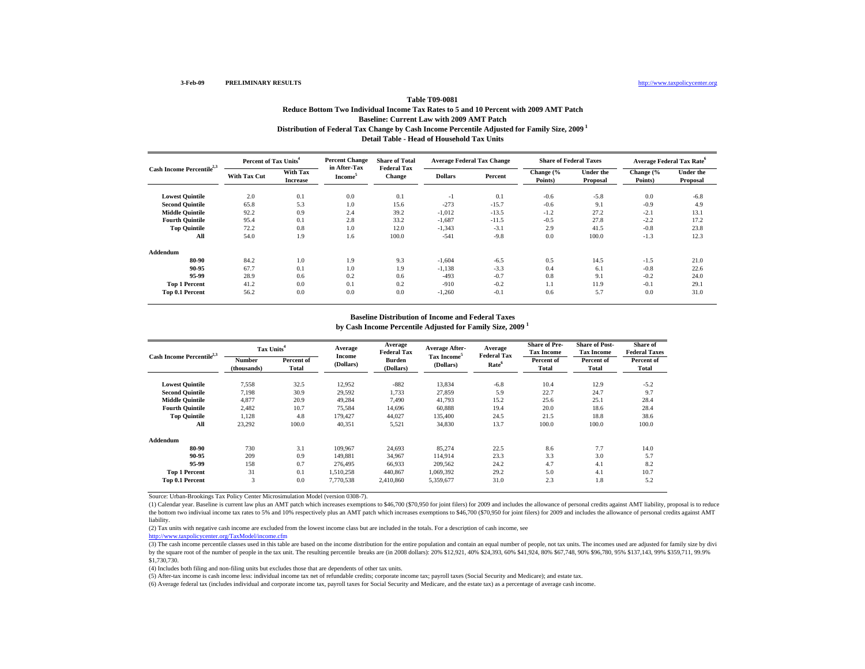# **Distribution of Federal Tax Change by Cash Income Percentile Adjusted for Family Size, 2009 1 Detail Table - Head of Household Tax Units Table T09-0081Reduce Bottom Two Individual Income Tax Rates to 5 and 10 Percent with 2009 AMT Patch Baseline: Current Law with 2009 AMT Patch**

| Cash Income Percentile <sup>2,3</sup> | Percent of Tax Units <sup>4</sup> |                             | <b>Percent Change</b>                      | <b>Share of Total</b>               | <b>Average Federal Tax Change</b> |         | <b>Share of Federal Taxes</b> |                              |                      | <b>Average Federal Tax Rate<sup>6</sup></b> |
|---------------------------------------|-----------------------------------|-----------------------------|--------------------------------------------|-------------------------------------|-----------------------------------|---------|-------------------------------|------------------------------|----------------------|---------------------------------------------|
|                                       | With Tax Cut                      | With Tax<br><b>Increase</b> | in After-Tax<br><b>Income</b> <sup>5</sup> | <b>Federal Tax</b><br><b>Change</b> | <b>Dollars</b>                    | Percent | Change (%<br>Points)          | <b>Under the</b><br>Proposal | Change (%<br>Points) | <b>Under the</b><br>Proposal                |
| <b>Lowest Quintile</b>                | 2.0                               | 0.1                         | 0.0                                        | 0.1                                 | $-1$                              | 0.1     | $-0.6$                        | $-5.8$                       | 0.0                  | $-6.8$                                      |
| <b>Second Quintile</b>                | 65.8                              | 5.3                         | 1.0                                        | 15.6                                | $-273$                            | $-15.7$ | $-0.6$                        | 9.1                          | $-0.9$               | 4.9                                         |
| <b>Middle Ouintile</b>                | 92.2                              | 0.9                         | 2.4                                        | 39.2                                | $-1,012$                          | $-13.5$ | $-1.2$                        | 27.2                         | $-2.1$               | 13.1                                        |
| <b>Fourth Quintile</b>                | 95.4                              | 0.1                         | 2.8                                        | 33.2                                | $-1,687$                          | $-11.5$ | $-0.5$                        | 27.8                         | $-2.2$               | 17.2                                        |
| <b>Top Quintile</b>                   | 72.2                              | 0.8                         | 1.0                                        | 12.0                                | $-1,343$                          | $-3.1$  | 2.9                           | 41.5                         | $-0.8$               | 23.8                                        |
| All                                   | 54.0                              | 1.9                         | 1.6                                        | 100.0                               | $-541$                            | $-9.8$  | 0.0                           | 100.0                        | $-1.3$               | 12.3                                        |
| Addendum                              |                                   |                             |                                            |                                     |                                   |         |                               |                              |                      |                                             |
| 80-90                                 | 84.2                              | 1.0                         | 1.9                                        | 9.3                                 | $-1,604$                          | $-6.5$  | 0.5                           | 14.5                         | $-1.5$               | 21.0                                        |
| 90-95                                 | 67.7                              | 0.1                         | 1.0                                        | 1.9                                 | $-1,138$                          | $-3.3$  | 0.4                           | 6.1                          | $-0.8$               | 22.6                                        |
| 95-99                                 | 28.9                              | 0.6                         | 0.2                                        | 0.6                                 | $-493$                            | $-0.7$  | 0.8                           | 9.1                          | $-0.2$               | 24.0                                        |
| <b>Top 1 Percent</b>                  | 41.2                              | 0.0                         | 0.1                                        | 0.2                                 | $-910$                            | $-0.2$  | 1.1                           | 11.9                         | $-0.1$               | 29.1                                        |
| Top 0.1 Percent                       | 56.2                              | 0.0                         | 0.0                                        | 0.0                                 | $-1,260$                          | $-0.1$  | 0.6                           | 5.7                          | 0.0                  | 31.0                                        |

#### **Baseline Distribution of Income and Federal Taxes**

**by Cash Income Percentile Adjusted for Family Size, 2009 <sup>1</sup>**

| Cash Income Percentile <sup>2,3</sup> |                       | Tax Units <sup>4</sup> |                     | Average<br><b>Federal Tax</b> | <b>Average After-</b>                | Average                                 | <b>Share of Pre-</b><br><b>Tax Income</b> | <b>Share of Post-</b><br><b>Tax Income</b> | Share of<br><b>Federal Taxes</b> |
|---------------------------------------|-----------------------|------------------------|---------------------|-------------------------------|--------------------------------------|-----------------------------------------|-------------------------------------------|--------------------------------------------|----------------------------------|
|                                       | Number<br>(thousands) | Percent of<br>Total    | Income<br>(Dollars) | <b>Burden</b><br>(Dollars)    | Tax Income <sup>5</sup><br>(Dollars) | <b>Federal Tax</b><br>Rate <sup>6</sup> | Percent of<br>Total                       | Percent of<br>Total                        | Percent of<br>Total              |
| <b>Lowest Quintile</b>                | 7,558                 | 32.5                   | 12,952              | $-882$                        | 13,834                               | $-6.8$                                  | 10.4                                      | 12.9                                       | $-5.2$                           |
| <b>Second Quintile</b>                | 7,198                 | 30.9                   | 29,592              | 1,733                         | 27,859                               | 5.9                                     | 22.7                                      | 24.7                                       | 9.7                              |
| <b>Middle Quintile</b>                | 4.877                 | 20.9                   | 49,284              | 7.490                         | 41,793                               | 15.2                                    | 25.6                                      | 25.1                                       | 28.4                             |
| <b>Fourth Ouintile</b>                | 2.482                 | 10.7                   | 75,584              | 14.696                        | 60,888                               | 19.4                                    | 20.0                                      | 18.6                                       | 28.4                             |
| <b>Top Quintile</b>                   | 1,128                 | 4.8                    | 179.427             | 44,027                        | 135.400                              | 24.5                                    | 21.5                                      | 18.8                                       | 38.6                             |
| All                                   | 23,292                | 100.0                  | 40,351              | 5,521                         | 34,830                               | 13.7                                    | 100.0                                     | 100.0                                      | 100.0                            |
| Addendum                              |                       |                        |                     |                               |                                      |                                         |                                           |                                            |                                  |
| 80-90                                 | 730                   | 3.1                    | 109.967             | 24.693                        | 85,274                               | 22.5                                    | 8.6                                       | 7.7                                        | 14.0                             |
| 90-95                                 | 209                   | 0.9                    | 149.881             | 34,967                        | 114.914                              | 23.3                                    | 3.3                                       | 3.0                                        | 5.7                              |
| 95-99                                 | 158                   | 0.7                    | 276,495             | 66.933                        | 209.562                              | 24.2                                    | 4.7                                       | 4.1                                        | 8.2                              |
| <b>Top 1 Percent</b>                  | 31                    | 0.1                    | 1,510,258           | 440,867                       | 1,069,392                            | 29.2                                    | 5.0                                       | 4.1                                        | 10.7                             |
| Top 0.1 Percent                       | 3                     | 0.0                    | 7,770,538           | 2,410,860                     | 5,359,677                            | 31.0                                    | 2.3                                       | 1.8                                        | 5.2                              |

Source: Urban-Brookings Tax Policy Center Microsimulation Model (version 0308-7).

(1) Calendar year. Baseline is current law plus an AMT patch which increases exemptions to \$46,700 (\$70,950 for joint filers) for 2009 and includes the allowance of personal credits against AMT liability, proposal is to re the bottom two indiviual income tax rates to 5% and 10% respectively plus an AMT patch which increases exemptions to \$46,700 (\$70,950 for joint filers) for 2009 and includes the allowance of personal credits against AMT liability.

(2) Tax units with negative cash income are excluded from the lowest income class but are included in the totals. For a description of cash income, see

http://www.taxpolicycenter.org/TaxModel/income.cfm

(3) The cash income percentile classes used in this table are based on the income distribution for the entire population and contain an equal number of people, not tax units. The incomes used are adjusted for family size b by the square root of the number of people in the tax unit. The resulting percentile breaks are (in 2008 dollars): 20% \$12,921, 40% \$24,393, 60% \$41,924, 80% \$67,748, 90% \$96,780, 95% \$137,143, 99% \$359,711, 99.9% \$1,730,730.

(4) Includes both filing and non-filing units but excludes those that are dependents of other tax units.

(5) After-tax income is cash income less: individual income tax net of refundable credits; corporate income tax; payroll taxes (Social Security and Medicare); and estate tax.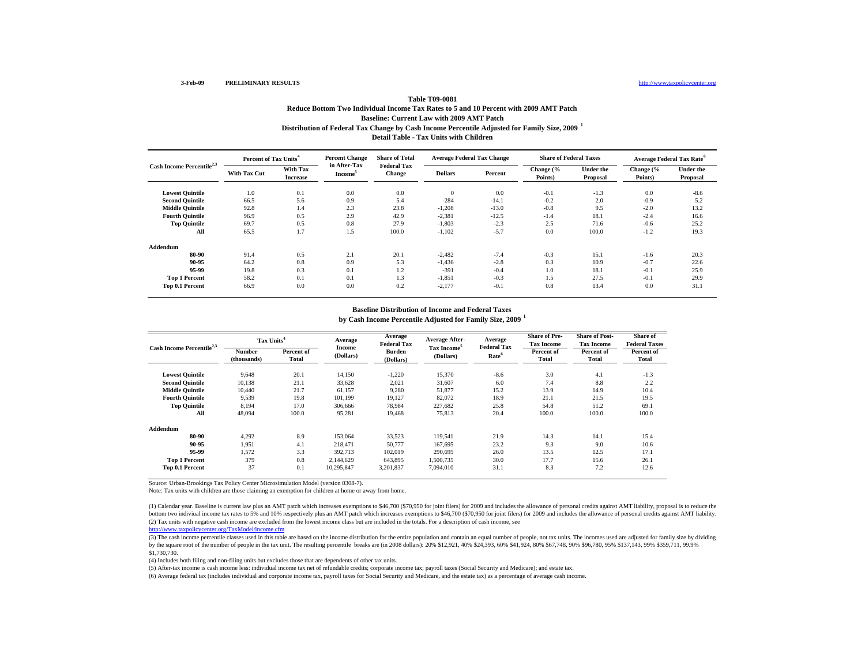### http://www.taxpolicycenter.org

### **Distribution of Federal Tax Change by Cash Income Percentile Adjusted for Family Size, 2009 <sup>1</sup> Detail Table - Tax Units with Children Table T09-0081Reduce Bottom Two Individual Income Tax Rates to 5 and 10 Percent with 2009 AMT Patch Baseline: Current Law with 2009 AMT Patch**

| Cash Income Percentile <sup>2,3</sup> | Percent of Tax Units <sup>4</sup> |                             | <b>Percent Change</b>               | <b>Share of Total</b>               | <b>Average Federal Tax Change</b> |         | <b>Share of Federal Taxes</b> |                              | Average Federal Tax Rate <sup>6</sup> |                              |
|---------------------------------------|-----------------------------------|-----------------------------|-------------------------------------|-------------------------------------|-----------------------------------|---------|-------------------------------|------------------------------|---------------------------------------|------------------------------|
|                                       | <b>With Tax Cut</b>               | With Tax<br><b>Increase</b> | in After-Tax<br>Income <sup>3</sup> | <b>Federal Tax</b><br><b>Change</b> | <b>Dollars</b>                    | Percent | Change (%<br>Points)          | <b>Under the</b><br>Proposal | Change (%<br>Points)                  | <b>Under the</b><br>Proposal |
| <b>Lowest Quintile</b>                | 1.0                               | 0.1                         | 0.0                                 | 0.0                                 | $\mathbf{0}$                      | 0.0     | $-0.1$                        | $-1.3$                       | 0.0                                   | $-8.6$                       |
| <b>Second Quintile</b>                | 66.5                              | 5.6                         | 0.9                                 | 5.4                                 | $-284$                            | $-14.1$ | $-0.2$                        | 2.0                          | $-0.9$                                | 5.2                          |
| <b>Middle Quintile</b>                | 92.8                              | 1.4                         | 2.3                                 | 23.8                                | $-1,208$                          | $-13.0$ | $-0.8$                        | 9.5                          | $-2.0$                                | 13.2                         |
| <b>Fourth Quintile</b>                | 96.9                              | 0.5                         | 2.9                                 | 42.9                                | $-2,381$                          | $-12.5$ | $-1.4$                        | 18.1                         | $-2.4$                                | 16.6                         |
| <b>Top Quintile</b>                   | 69.7                              | 0.5                         | 0.8                                 | 27.9                                | $-1,803$                          | $-2.3$  | 2.5                           | 71.6                         | $-0.6$                                | 25.2                         |
| All                                   | 65.5                              | 1.7                         | 1.5                                 | 100.0                               | $-1,102$                          | $-5.7$  | 0.0                           | 100.0                        | $-1.2$                                | 19.3                         |
| Addendum                              |                                   |                             |                                     |                                     |                                   |         |                               |                              |                                       |                              |
| 80-90                                 | 91.4                              | 0.5                         | 2.1                                 | 20.1                                | $-2,482$                          | $-7.4$  | $-0.3$                        | 15.1                         | $-1.6$                                | 20.3                         |
| 90-95                                 | 64.2                              | 0.8                         | 0.9                                 | 5.3                                 | $-1,436$                          | $-2.8$  | 0.3                           | 10.9                         | $-0.7$                                | 22.6                         |
| 95-99                                 | 19.8                              | 0.3                         | 0.1                                 | 1.2                                 | $-391$                            | $-0.4$  | 1.0                           | 18.1                         | $-0.1$                                | 25.9                         |
| <b>Top 1 Percent</b>                  | 58.2                              | 0.1                         | 0.1                                 | 1.3                                 | $-1,851$                          | $-0.3$  | 1.5                           | 27.5                         | $-0.1$                                | 29.9                         |
| Top 0.1 Percent                       | 66.9                              | 0.0                         | 0.0                                 | 0.2                                 | $-2,177$                          | $-0.1$  | 0.8                           | 13.4                         | 0.0                                   | 31.1                         |

#### **Baseline Distribution of Income and Federal Taxes**

**by Cash Income Percentile Adjusted for Family Size, 2009 <sup>1</sup>**

| Cash Income Percentile <sup>2,3</sup> | Tax Units <sup>4</sup> |                     | Average             | Average<br><b>Federal Tax</b> | <b>Average After-</b>                | Average                                 | <b>Share of Pre-</b><br><b>Tax Income</b> | <b>Share of Post-</b><br><b>Tax Income</b> | Share of<br><b>Federal Taxes</b> |
|---------------------------------------|------------------------|---------------------|---------------------|-------------------------------|--------------------------------------|-----------------------------------------|-------------------------------------------|--------------------------------------------|----------------------------------|
|                                       | Number<br>(thousands)  | Percent of<br>Total | Income<br>(Dollars) | <b>Burden</b><br>(Dollars)    | Tax Income <sup>5</sup><br>(Dollars) | <b>Federal Tax</b><br>Rate <sup>6</sup> | Percent of<br>Total                       | Percent of<br><b>Total</b>                 | Percent of<br>Total              |
| <b>Lowest Ouintile</b>                | 9.648                  | 20.1                | 14.150              | $-1,220$                      | 15,370                               | $-8.6$                                  | 3.0                                       | 4.1                                        | $-1.3$                           |
| <b>Second Ouintile</b>                | 10,138                 | 21.1                | 33,628              | 2,021                         | 31,607                               | 6.0                                     | 7.4                                       | 8.8                                        | 2.2                              |
| <b>Middle Quintile</b>                | 10.440                 | 21.7                | 61,157              | 9,280                         | 51,877                               | 15.2                                    | 13.9                                      | 14.9                                       | 10.4                             |
| <b>Fourth Ouintile</b>                | 9,539                  | 19.8                | 101,199             | 19,127                        | 82,072                               | 18.9                                    | 21.1                                      | 21.5                                       | 19.5                             |
| <b>Top Quintile</b>                   | 8,194                  | 17.0                | 306,666             | 78,984                        | 227,682                              | 25.8                                    | 54.8                                      | 51.2                                       | 69.1                             |
| All                                   | 48.094                 | 100.0               | 95,281              | 19,468                        | 75,813                               | 20.4                                    | 100.0                                     | 100.0                                      | 100.0                            |
| Addendum                              |                        |                     |                     |                               |                                      |                                         |                                           |                                            |                                  |
| 80-90                                 | 4,292                  | 8.9                 | 153,064             | 33,523                        | 119,541                              | 21.9                                    | 14.3                                      | 14.1                                       | 15.4                             |
| 90-95                                 | 1,951                  | 4.1                 | 218.471             | 50,777                        | 167,695                              | 23.2                                    | 9.3                                       | 9.0                                        | 10.6                             |
| 95-99                                 | 1,572                  | 3.3                 | 392,713             | 102,019                       | 290,695                              | 26.0                                    | 13.5                                      | 12.5                                       | 17.1                             |
| <b>Top 1 Percent</b>                  | 379                    | 0.8                 | 2.144.629           | 643,895                       | 1,500,735                            | 30.0                                    | 17.7                                      | 15.6                                       | 26.1                             |
| Top 0.1 Percent                       | 37                     | 0.1                 | 10,295,847          | 3,201,837                     | 7.094.010                            | 31.1                                    | 8.3                                       | 7.2                                        | 12.6                             |

Source: Urban-Brookings Tax Policy Center Microsimulation Model (version 0308-7).

Note: Tax units with children are those claiming an exemption for children at home or away from home.

(2) Tax units with negative cash income are excluded from the lowest income class but are included in the totals. For a description of cash income, see (1) Calendar year. Baseline is current law plus an AMT patch which increases exemptions to \$46,700 (\$70,950 for joint filers) for 2009 and includes the allowance of personal credits against AMT liability, proposal is to re bottom two indiviual income tax rates to 5% and 10% respectively plus an AMT patch which increases exemptions to \$46,700 (\$70,950 for joint filers) for 2009 and includes the allowance of personal credits against AMT liabil

#### http://www.taxpolicycenter.org/TaxModel/income.cfm

(3) The cash income percentile classes used in this table are based on the income distribution for the entire population and contain an equal number of people, not tax units. The incomes used are adjusted for family size b by the square root of the number of people in the tax unit. The resulting percentile breaks are (in 2008 dollars): 20% \$12,921, 40% \$24,393, 60% \$41,924, 80% \$67,748, 90% \$96,780, 95% \$137,143, 99% \$359,711, 99.9% \$1,730,730.

(4) Includes both filing and non-filing units but excludes those that are dependents of other tax units.

(5) After-tax income is cash income less: individual income tax net of refundable credits; corporate income tax; payroll taxes (Social Security and Medicare); and estate tax.